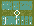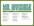# Music: Bob Fenster | Lyrics Peter McDade

### **Music:** Bob Fenster | **Lyrics:** Peter McDade

Showed up kicking and screaming Screaming to be seen Needed constant attention To be heard by anyone

Grew up too loud up too tall Boy became a man Doing all I can To escape from everyone

I know they're gonna find me Situation's critical I wish that I could be Like Mister Invisible

Took off running and hiding Hiding in the dark It's time to be somewhere else To be anyone else

I know they're gonna catch me Situation's critical I wish that I could be Like Mister Invisible

But if I disappear Then you can't see me But when I disappear Then you won't see me I know they're gonna kill me Situation's critical I wish I could have been Like Mister Invisible

**Jonny Daly:** Lead Guitar **Jeff Jensen:** Vocals, Bass, Harmonica, Guitars **Peter McDade:** Drums

*Recorded at Freedom of Sound Studio*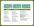### $L$   $\frac{1}{2}$   $\frac{1}{2}$   $\frac{1}{2}$   $\frac{1}{2}$   $\frac{1}{2}$   $\frac{1}{2}$   $\frac{1}{2}$   $\frac{1}{2}$   $\frac{1}{2}$   $\frac{1}{2}$

### **Music:** Jeff Jensen | **Lyrics:** Peter McDade

Born too early Never could wait Maybe I just should Have taken more time But I pushed to The front of the line

I never learned What not to say Maybe I just should Have hidden my eyes I just a mumbled A "thanks" and "alright"

But they sure shaped me up And they made me understand When I felt the force of Their heavy heavy hands

Now you are here But it's too late Maybe if I had Just been someone else They could have seen me As more than the help

I'd like to pick you up Then hold you where you stand But I'm too weak to move These heavy heavy hands

Nowhere to go There's nowhere safe Maybe it's better To give up the fight Lord I wait for the world To make things more right I'd like to help you up And make our final stand But I'm too weak to move These heavy heavy hands

**Jonny Daly:** Guitars, Slide Guitar **Sara Depp:** Backing Vocals **Steve Gorman:** Drums **Jeff Jensen:** Vocals, Harmonica, Guitars **Marty Kearns:** Piano **Sven Pipien:** Bass

*Recorded at 800 East Studios, Atlanta, GA Engineered by Marty Kearns Jonny Daly's guitars recorded at Freedom of Sound Studio*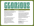# Music: Kris Hauch | Lyrics: Peter McDade

### **Music:** Kris Hauch | **Lyrics:** Peter McDade

Nobody asks for this no one signs up to live We wake up alone and we take what they can give Nobody knows for sure why we are where we are We all walk around but don't go very far So there's nothing left for us to do Just shut our eyes to see what is true I came to this world all lonely and wet Came to this world all lonely and wet But now I'm here and all I know is I am here

We walk in straight lines and follow the rules And one at a time we're put into groups We all listen close to know what to do But all I ever learned is nothing is true So I try try try to fnd my home But wherever I go I'm always alone I stepped out of line and closed my eyes Stepped out of line and closed my eyes The last thing I heard was someone singing loud and clear

Everything is gonna be glorious It's all gonna be glorious

I was back at the start but it felt like the end All alone in the dark and trapped in silence But then I heard your voice calling out to me And that's when I knew who I wanted to be I'm here with something real and true And now I know what I need to do The future drives a bus and she's coming for you Future drives a bus with plenty of room If you come with me and climb on board I promise you

Everything is gonna be glorious It's all gonna be glorious

**Kris Hauch:** Vocals, Guitars, Keyboards **Peter McDade:** Drums **Kyle Richards:** Bass

*Mixed by Kris Hauch*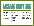## NOVEMBER NEDADE

### **Music: Charles Walston**

I started looking up As soon as I took flight It just felt safer Than looking left or right

I stared into the sky And asked my biggest fear God answered with a bang Loud enough for me to hear

I'm still here on my own Trapped in this same room Somebody else in charge And nothing I could do

I gazed into the sky And faced my biggest fear God answered Loud enough for me to hear

Don't worry about losing control You can't lose what you never owned

I keep on waking up Before I fall asleep My dreams are never where They're supposed to be

So I walk into the night To face my biggest fear I know what God would say If only he was here

The world was made without me or you Life's a lie, but one thing is true Don't worry about losing control You can't lose what you never owned

**Jonny Daly:** Guitars, Dobro **Jeff Jensen:** Vocals, Bass, Harmonica **Peter McDade:** Drums **Laura Seebol:** Backing Vocals **Bill Shaouy:** Piano, Organ

*Basic tracks recorded at Freedom of Sound Studio*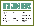# $\left\{\begin{array}{c} \begin{array}{c} \begin{array}{c} \begin{array}{c} \end{array} \\ \begin{array}{c} \end{array} \\ \begin{array}{c} \end{array} \\ \begin{array}{c} \end{array} \\ \begin{array}{c} \end{array} \\ \begin{array}{cccccccc \end{array} \\ \begin{array}{cccccccc \end{array} \\ \end{array} \\ \begin{array}{cccccccc \end{array} \\ \begin{array}{cccccccc \end{array} \\ \begin{array}{cccccccc \end{array} \\ \begin{array}{cccccccc \end{array} \\ \end{array} \\ \begin{array}{cccccccccccc \end{array} \\ \begin{array}{cccccccccccc \end{array} \\ \begin{array}{cccccccccccc \end{array}$

### **Music:** Jonny Daly | **Lyrics:** Peter McDade

Another empty day Here on my own One more endless night So all alone

Time keeps rolling on But not for me How my life has been Is how it will be

And I'm tired tired so tired Of waiting here And it hurts hurts hurts When I disappear Now all those doors are locked But who has the key And who built all these walls Closing on me

I feel like I could fly I just need some wings And if I could hear my voice I know I could sing

 Just feels like nothing Will ever be done No one ever sees My father's son

And I'm tired tired tired Of waiting here And I won't, I won't Just disappear Cause these walls I see Circling around Since no one else is here I'll knock them down, down I'll knock them down

Is it too late, is it too late To find my way out Can I escape, an I escape And find my way home Cause you're the only thing That I'm waiting for You're the reason, you're the reason I will try To knock down this door

**Jonny Daly:** Guitars **Amanda Mote Glass:** Backing vocals **Jeff Jensen:** Vocals **Lee Kennedy:** Bass **Peter McDade:** Drums **Bill Phillips:** Sax **Bill Shaouy:** Organ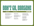## $\prod_{\mathbf{M} \text{usic: } \text{Jeff [ensen ]}} \prod_{\mathbf{M} \text{yzles: } \text{Peter McDade}} \prod_{\mathbf{M} \text{cDade}} \prod_{\mathbf{M} \text{D} \text{p} \text{p} \text{p} \text{p} \text{p} \text{p}} \prod_{\mathbf{M} \text{D} \text{p} \text{p} \text{p} \text{p}} \prod_{\mathbf{M} \text{D} \text{p} \text{p} \text{p} \text{p}} \prod_{\mathbf{M} \text{D} \text{p} \text{p} \text{p} \text{p} \text{p} \text{$

### **Music: Jeff Jensen | Lyrics: Peter McDade**

Only thing I knew for sure No one can know me Sitting on my heavy hands Let life pass by me

Just hiding here in plain sight No one can see me I really thought I was right Until you found me

Now you're close So please don't go

Only thing we know for sure No one can know us But we don't even see them Too far below us

Now you're close So please don't go

I want to say it out loud Tired of talking to myself I need to say it out to loud For you and everyone else

Don't go, Darlene Darlene don't go Don't go, Darlene Darlene don't go

**C. G. Brown:** Vocals **Jeff Jensen:** Piano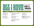### Music: Kim Ware | Lyrics: Peter McDade **Music:** Kim Ware | **Lyrics:** Peter McDade

Turning off the doors Locking all the lights Just to be certain I do it more than twice

Cutting all the knots Fixing what is right Have to be certain I'm shutting both my eyes Morning comes and I have not left Another day and I'm not done yet Long is samsara Samsara is long

I'm talking through my hands Mixing up my lines Just to be certain I won't forget to hide

Morning comes and I have not left Another day and I'm not done yet Long is samsara Samsara is long

I'll leave some day I'll leave somehow There is a way out But all I have is now

**Jim Bryson:** Piano, Backing Vocals **Kim Ware:** Vocals, Guitar **Lee Wiggins:** Drums, Percussion, Bass

(LONG IS

SAMSARA)

*Mixed by Lee Wiggins*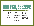

### **Music: Jeff Jensen | Lyrics: Peter McDade**

Only thing I knew for sure No one can know me Sitting on my heavy hands Let life pass by me

Just hiding here in plain sight No one can see me I really thought I was right Until you found me

Now you're close So please don't go

Only thing we know for sure No one can know us But we don't even see them Too far below us

Now you're close So please don't go

I want to say it out loud Tired of talking to myself I need to say it out to loud For you and everyone else

Don't go, Darlene Darlene don't go Don't go, Darlene Darlene don't go

**Jonny Daly:** Guitars **Jeff Jensen:** Vocals, Piano **Lee Kennedy:** Bass **Peter McDade:** Drums

*Recorded at Freedom of Sound Studio*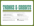### thanks&credits

This soundtrack would not exist without the help of all these talented players and co-writers. Their enthusiasm as musicians and friends made everything you are listening to possible. Please be sure to visit their websites for more of their work:

**C. G. Brown:** soundcloud.com/brokenbeatnik **Jonny Daly:** jonnydaly.bandcamp.com **Kris Hauch:** norwayhouse.bandcamp.com **Jeff Jensen:** facebook.com/UncleGreen3LbThrill **Laura Seebol:** thesoogs.bandcamp.com **Bill Shaouy:** Billshaouy.com **Kim Ware:** thegoodgraces.org **Lee Wiggins:** leewiggins411.myportfolio.com

All songs © 2022 Monkeyhole Songs except "Waiting Here," Jonny Daly/Monkeyhole Songs and "All I Have (Long is Samsara)," Pretty New Songs/Monkeyhole Songs.

Unless otherwise noted: Mixed and Produced by Jonny Daly. And, unless otherwise noted, the musicians recorded at home.

**Honeybird logo and Samsara Wheel Design:** Sarah Marks **Digital Booklet design:** Michael Hunter/Catcher in the Eye



© 2022 Wampus Multimedia. All rights reserved. **www.wampus.com**